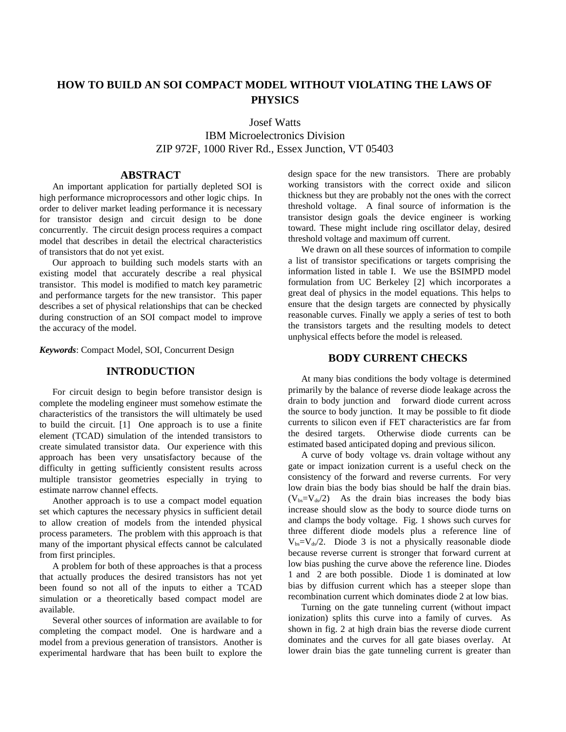# **HOW TO BUILD AN SOI COMPACT MODEL WITHOUT VIOLATING THE LAWS OF PHYSICS**

Josef Watts

IBM Microelectronics Division ZIP 972F, 1000 River Rd., Essex Junction, VT 05403

## **ABSTRACT**

An important application for partially depleted SOI is high performance microprocessors and other logic chips. In order to deliver market leading performance it is necessary for transistor design and circuit design to be done concurrently. The circuit design process requires a compact model that describes in detail the electrical characteristics of transistors that do not yet exist.

Our approach to building such models starts with an existing model that accurately describe a real physical transistor. This model is modified to match key parametric and performance targets for the new transistor. This paper describes a set of physical relationships that can be checked during construction of an SOI compact model to improve the accuracy of the model.

*Keywords*: Compact Model, SOI, Concurrent Design

#### **INTRODUCTION**

For circuit design to begin before transistor design is complete the modeling engineer must somehow estimate the characteristics of the transistors the will ultimately be used to build the circuit. [1] One approach is to use a finite element (TCAD) simulation of the intended transistors to create simulated transistor data. Our experience with this approach has been very unsatisfactory because of the difficulty in getting sufficiently consistent results across multiple transistor geometries especially in trying to estimate narrow channel effects.

Another approach is to use a compact model equation set which captures the necessary physics in sufficient detail to allow creation of models from the intended physical process parameters. The problem with this approach is that many of the important physical effects cannot be calculated from first principles.

A problem for both of these approaches is that a process that actually produces the desired transistors has not yet been found so not all of the inputs to either a TCAD simulation or a theoretically based compact model are available.

Several other sources of information are available to for completing the compact model. One is hardware and a model from a previous generation of transistors. Another is experimental hardware that has been built to explore the design space for the new transistors. There are probably working transistors with the correct oxide and silicon thickness but they are probably not the ones with the correct threshold voltage. A final source of information is the transistor design goals the device engineer is working toward. These might include ring oscillator delay, desired threshold voltage and maximum off current.

We drawn on all these sources of information to compile a list of transistor specifications or targets comprising the information listed in table I. We use the BSIMPD model formulation from UC Berkeley [2] which incorporates a great deal of physics in the model equations. This helps to ensure that the design targets are connected by physically reasonable curves. Finally we apply a series of test to both the transistors targets and the resulting models to detect unphysical effects before the model is released.

### **BODY CURRENT CHECKS**

At many bias conditions the body voltage is determined primarily by the balance of reverse diode leakage across the drain to body junction and forward diode current across the source to body junction. It may be possible to fit diode currents to silicon even if FET characteristics are far from the desired targets. Otherwise diode currents can be estimated based anticipated doping and previous silicon.

A curve of body voltage vs. drain voltage without any gate or impact ionization current is a useful check on the consistency of the forward and reverse currents. For very low drain bias the body bias should be half the drain bias.  $(V_{bs}=V_{ds}/2)$  As the drain bias increases the body bias increase should slow as the body to source diode turns on and clamps the body voltage. Fig. 1 shows such curves for three different diode models plus a reference line of  $V_{bs}=V_{ds}/2$ . Diode 3 is not a physically reasonable diode because reverse current is stronger that forward current at low bias pushing the curve above the reference line. Diodes 1 and 2 are both possible. Diode 1 is dominated at low bias by diffusion current which has a steeper slope than recombination current which dominates diode 2 at low bias.

Turning on the gate tunneling current (without impact ionization) splits this curve into a family of curves. As shown in fig. 2 at high drain bias the reverse diode current dominates and the curves for all gate biases overlay. At lower drain bias the gate tunneling current is greater than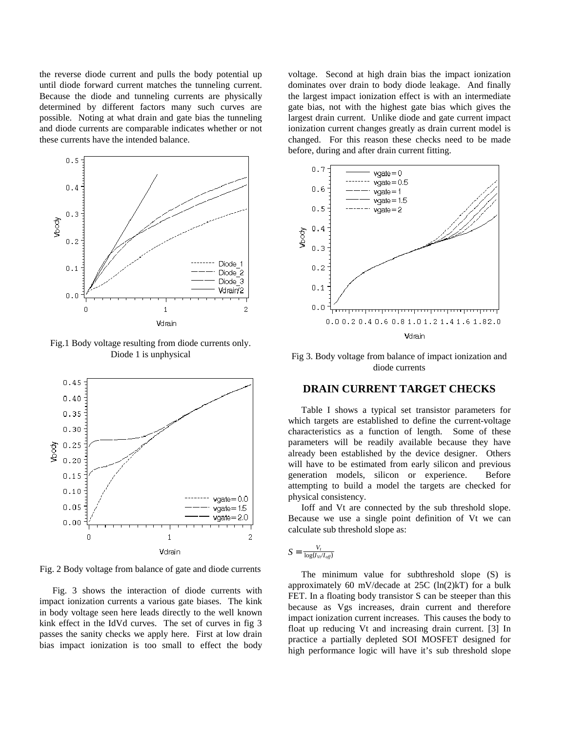the reverse diode current and pulls the body potential up until diode forward current matches the tunneling current. Because the diode and tunneling currents are physically determined by different factors many such curves are possible. Noting at what drain and gate bias the tunneling and diode currents are comparable indicates whether or not these currents have the intended balance.



Fig.1 Body voltage resulting from diode currents only. Diode 1 is unphysical



Fig. 2 Body voltage from balance of gate and diode currents

Fig. 3 shows the interaction of diode currents with impact ionization currents a various gate biases. The kink in body voltage seen here leads directly to the well known kink effect in the IdVd curves. The set of curves in fig 3 passes the sanity checks we apply here. First at low drain bias impact ionization is too small to effect the body

voltage. Second at high drain bias the impact ionization dominates over drain to body diode leakage. And finally the largest impact ionization effect is with an intermediate gate bias, not with the highest gate bias which gives the largest drain current. Unlike diode and gate current impact ionization current changes greatly as drain current model is changed. For this reason these checks need to be made before, during and after drain current fitting.



Fig 3. Body voltage from balance of impact ionization and diode currents

### **DRAIN CURRENT TARGET CHECKS**

Table I shows a typical set transistor parameters for which targets are established to define the current-voltage characteristics as a function of length. Some of these parameters will be readily available because they have already been established by the device designer. Others will have to be estimated from early silicon and previous generation models, silicon or experience. Before attempting to build a model the targets are checked for physical consistency.

Ioff and Vt are connected by the sub threshold slope. Because we use a single point definition of Vt we can calculate sub threshold slope as:

$$
S = \frac{V_t}{\log(I_{Vt}/I_{\text{off}})}
$$

The minimum value for subthreshold slope (S) is approximately 60 mV/decade at  $25C$  (ln(2)kT) for a bulk FET. In a floating body transistor S can be steeper than this because as Vgs increases, drain current and therefore impact ionization current increases. This causes the body to float up reducing Vt and increasing drain current. [3] In practice a partially depleted SOI MOSFET designed for high performance logic will have it's sub threshold slope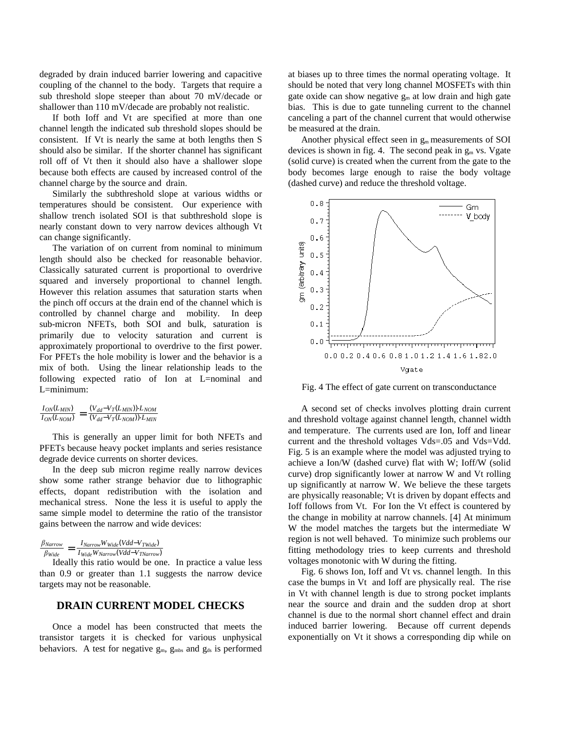degraded by drain induced barrier lowering and capacitive coupling of the channel to the body. Targets that require a sub threshold slope steeper than about 70 mV/decade or shallower than 110 mV/decade are probably not realistic.

If both Ioff and Vt are specified at more than one channel length the indicated sub threshold slopes should be consistent. If Vt is nearly the same at both lengths then S should also be similar. If the shorter channel has significant roll off of Vt then it should also have a shallower slope because both effects are caused by increased control of the channel charge by the source and drain.

Similarly the subthreshold slope at various widths or temperatures should be consistent. Our experience with shallow trench isolated SOI is that subthreshold slope is nearly constant down to very narrow devices although Vt can change significantly.

The variation of on current from nominal to minimum length should also be checked for reasonable behavior. Classically saturated current is proportional to overdrive squared and inversely proportional to channel length. However this relation assumes that saturation starts when the pinch off occurs at the drain end of the channel which is controlled by channel charge and mobility. In deep sub-micron NFETs, both SOI and bulk, saturation is primarily due to velocity saturation and current is approximately proportional to overdrive to the first power. For PFETs the hole mobility is lower and the behavior is a mix of both. Using the linear relationship leads to the following expected ratio of Ion at L=nominal and L=minimum:

| $I_{ON}(L_{MIN})$ | $(V_{dd} - V_T(L_{MIN}))$ $\cdot L_{NOM}$ |
|-------------------|-------------------------------------------|
| $I_{ON}(L_{NOM})$ | $(V_{dd}$ - $V_T(L_{NOM}))$ · $L_{MIN}$   |

This is generally an upper limit for both NFETs and PFETs because heavy pocket implants and series resistance degrade device currents on shorter devices.

In the deep sub micron regime really narrow devices show some rather strange behavior due to lithographic effects, dopant redistribution with the isolation and mechanical stress. None the less it is useful to apply the same simple model to determine the ratio of the transistor gains between the narrow and wide devices:

 $\frac{\beta_{Narrow}}{\beta_{Wide}} = \frac{I_{Narrow}W_{Wide}(Vdd-V_{TWide})}{I_{Wide}W_{Narrow}(Vdd-V_{TNarrow})}$ 

Ideally this ratio would be one. In practice a value less than 0.9 or greater than 1.1 suggests the narrow device targets may not be reasonable.

#### **DRAIN CURRENT MODEL CHECKS**

Once a model has been constructed that meets the transistor targets it is checked for various unphysical behaviors. A test for negative  $g_m$ ,  $g_{mbs}$  and  $g_{ds}$  is performed

at biases up to three times the normal operating voltage. It should be noted that very long channel MOSFETs with thin gate oxide can show negative  $g_m$  at low drain and high gate bias. This is due to gate tunneling current to the channel canceling a part of the channel current that would otherwise be measured at the drain.

Another physical effect seen in  $g<sub>m</sub>$  measurements of SOI devices is shown in fig. 4. The second peak in  $g<sub>m</sub>$  vs. Vgate (solid curve) is created when the current from the gate to the body becomes large enough to raise the body voltage (dashed curve) and reduce the threshold voltage.



Fig. 4 The effect of gate current on transconductance

A second set of checks involves plotting drain current and threshold voltage against channel length, channel width and temperature. The currents used are Ion, Ioff and linear current and the threshold voltages Vds=.05 and Vds=Vdd. Fig. 5 is an example where the model was adjusted trying to achieve a Ion/W (dashed curve) flat with W; Ioff/W (solid curve) drop significantly lower at narrow W and Vt rolling up significantly at narrow W. We believe the these targets are physically reasonable; Vt is driven by dopant effects and Ioff follows from Vt. For Ion the Vt effect is countered by the change in mobility at narrow channels. [4] At minimum W the model matches the targets but the intermediate W region is not well behaved. To minimize such problems our fitting methodology tries to keep currents and threshold voltages monotonic with W during the fitting.

Fig. 6 shows Ion, Ioff and Vt vs. channel length. In this case the bumps in Vt and Ioff are physically real. The rise in Vt with channel length is due to strong pocket implants near the source and drain and the sudden drop at short channel is due to the normal short channel effect and drain induced barrier lowering. Because off current depends exponentially on Vt it shows a corresponding dip while on